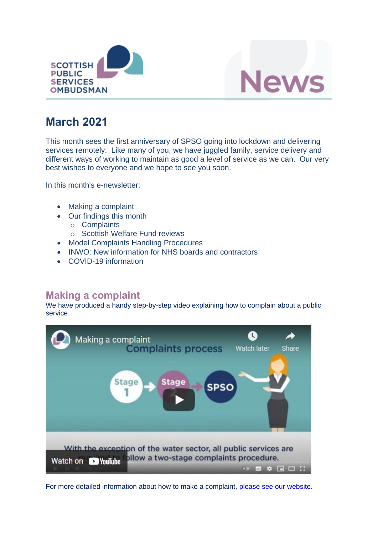



# **March 2021**

This month sees the first anniversary of SPSO going into lockdown and delivering services remotely. Like many of you, we have juggled family, service delivery and different ways of working to maintain as good a level of service as we can. Our very best wishes to everyone and we hope to see you soon.

In this month's e-newsletter:

- Making a complaint
- Our findings this month
	- o Complaints
	- o Scottish Welfare Fund reviews
- Model Complaints Handling Procedures
- INWO: New information for NHS boards and contractors
- COVID-19 information

## **Making a complaint**

We have produced a handy step-by-step video explaining how to complain about a public service.



For more detailed information about how to make a complaint, [please see our website.](https://www.spso.org.uk/how-to-complain-about-public-service)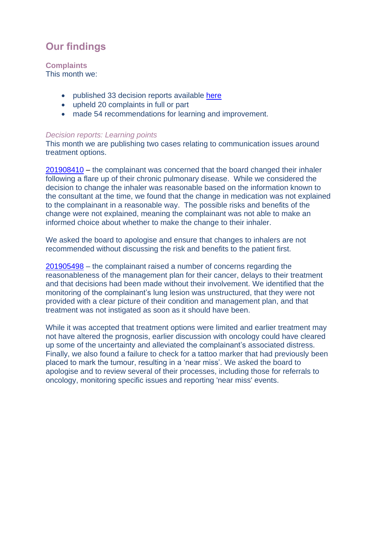# **Our findings**

**Complaints** This month we:

- published 33 decision reports available [here](https://www.spso.org.uk/our-findings)
- upheld 20 complaints in full or part
- made 54 recommendations for learning and improvement.

### *Decision reports: Learning points*

This month we are publishing two cases relating to communication issues around treatment options.

[201908410](https://www.spso.org.uk/decision-reports/2021/march/decision-report-201908410-201908410) – the complainant was concerned that the board changed their inhaler following a flare up of their chronic pulmonary disease. While we considered the decision to change the inhaler was reasonable based on the information known to the consultant at the time, we found that the change in medication was not explained to the complainant in a reasonable way. The possible risks and benefits of the change were not explained, meaning the complainant was not able to make an informed choice about whether to make the change to their inhaler.

We asked the board to apologise and ensure that changes to inhalers are not recommended without discussing the risk and benefits to the patient first.

[201905498](https://www.spso.org.uk/decision-reports/2021/march/decision-report-201905498-201905498) – the complainant raised a number of concerns regarding the reasonableness of the management plan for their cancer, delays to their treatment and that decisions had been made without their involvement. We identified that the monitoring of the complainant's lung lesion was unstructured, that they were not provided with a clear picture of their condition and management plan, and that treatment was not instigated as soon as it should have been.

While it was accepted that treatment options were limited and earlier treatment may not have altered the prognosis, earlier discussion with oncology could have cleared up some of the uncertainty and alleviated the complainant's associated distress. Finally, we also found a failure to check for a tattoo marker that had previously been placed to mark the tumour, resulting in a 'near miss'. We asked the board to apologise and to review several of their processes, including those for referrals to oncology, monitoring specific issues and reporting 'near miss' events.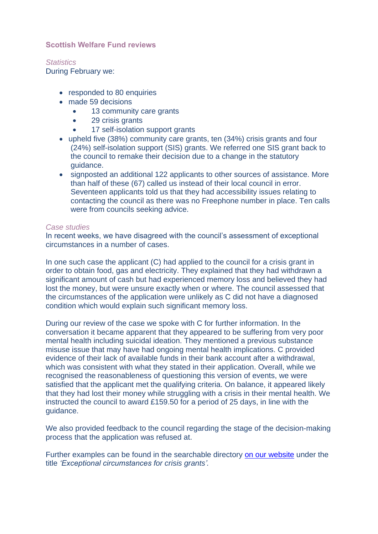### **Scottish Welfare Fund reviews**

*Statistics* During February we:

- responded to 80 enquiries
- made 59 decisions
	- 13 community care grants
	- 29 crisis grants
	- 17 self-isolation support grants
- upheld five (38%) community care grants, ten (34%) crisis grants and four (24%) self-isolation support (SIS) grants. We referred one SIS grant back to the council to remake their decision due to a change in the statutory guidance.
- signposted an additional 122 applicants to other sources of assistance. More than half of these (67) called us instead of their local council in error. Seventeen applicants told us that they had accessibility issues relating to contacting the council as there was no Freephone number in place. Ten calls were from councils seeking advice.

#### *Case studies*

In recent weeks, we have disagreed with the council's assessment of exceptional circumstances in a number of cases.

In one such case the applicant (C) had applied to the council for a crisis grant in order to obtain food, gas and electricity. They explained that they had withdrawn a significant amount of cash but had experienced memory loss and believed they had lost the money, but were unsure exactly when or where. The council assessed that the circumstances of the application were unlikely as C did not have a diagnosed condition which would explain such significant memory loss.

During our review of the case we spoke with C for further information. In the conversation it became apparent that they appeared to be suffering from very poor mental health including suicidal ideation. They mentioned a previous substance misuse issue that may have had ongoing mental health implications. C provided evidence of their lack of available funds in their bank account after a withdrawal, which was consistent with what they stated in their application. Overall, while we recognised the reasonableness of questioning this version of events, we were satisfied that the applicant met the qualifying criteria. On balance, it appeared likely that they had lost their money while struggling with a crisis in their mental health. We instructed the council to award £159.50 for a period of 25 days, in line with the guidance.

We also provided feedback to the council regarding the stage of the decision-making process that the application was refused at.

Further examples can be found in the searchable directory [on our website](https://www.spso.org.uk/scottishwelfarefund/case-summaries) under the title *'Exceptional circumstances for crisis grants'.*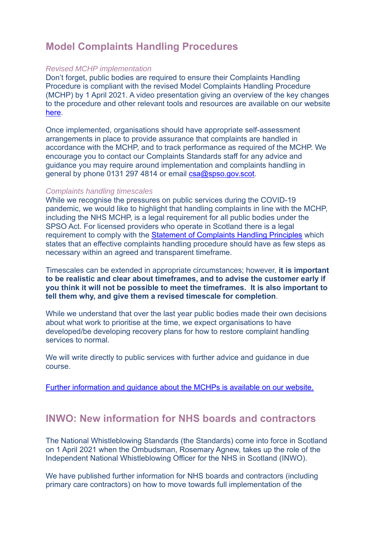## **Model Complaints Handling Procedures**

#### *Revised MCHP implementation*

Don't forget, public bodies are required to ensure their Complaints Handling Procedure is compliant with the revised Model Complaints Handling Procedure (MCHP) by 1 April 2021. A video presentation giving an overview of the key changes to the procedure and other relevant tools and resources are available on our website [here.](https://www.spso.org.uk/how-we-offer-support-and-guidance)

Once implemented, organisations should have appropriate self-assessment arrangements in place to provide assurance that complaints are handled in accordance with the MCHP, and to track performance as required of the MCHP. We encourage you to contact our Complaints Standards staff for any advice and guidance you may require around implementation and complaints handling in general by phone 0131 297 4814 or email [csa@spso.gov.scot.](mailto:csa@spso.gov.scot)

#### *Complaints handling timescales*

While we recognise the pressures on public services during the COVID-19 pandemic, we would like to highlight that handling complaints in line with the MCHP, including the NHS MCHP, is a legal requirement for all public bodies under the SPSO Act. For licensed providers who operate in Scotland there is a legal requirement to comply with the [Statement of Complaints Handling Principles](https://www.spso.org.uk/sites/spso/files/csa/principles.pdf) which states that an effective complaints handling procedure should have as few steps as necessary within an agreed and transparent timeframe.

Timescales can be extended in appropriate circumstances; however, **it is important to be realistic and clear about timeframes, and to advise the customer early if you think it will not be possible to meet the timeframes. It is also important to tell them why, and give them a revised timescale for completion**.

While we understand that over the last year public bodies made their own decisions about what work to prioritise at the time, we expect organisations to have developed/be developing recovery plans for how to restore complaint handling services to normal.

We will write directly to public services with further advice and guidance in due course.

[Further information and guidance about the MCHPs is available on our website.](https://www.spso.org.uk/the-model-complaints-handling-procedures)

### **INWO: New information for NHS boards and contractors**

The National Whistleblowing Standards (the Standards) come into force in Scotland on 1 April 2021 when the Ombudsman, Rosemary Agnew, takes up the role of the Independent National Whistleblowing Officer for the NHS in Scotland (INWO).

We have published further information for NHS boards and contractors (including primary care contractors) on how to move towards full implementation of the